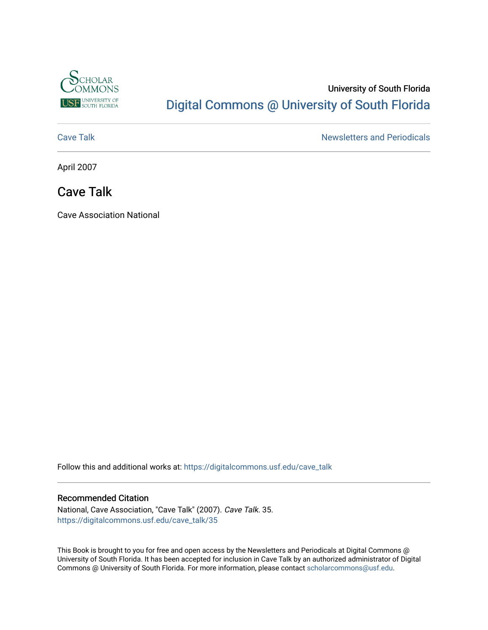

# University of South Florida [Digital Commons @ University of South Florida](https://digitalcommons.usf.edu/)

[Cave Talk](https://digitalcommons.usf.edu/cave_talk) **Newsletters** and Periodicals

April 2007

## Cave Talk

Cave Association National

Follow this and additional works at: [https://digitalcommons.usf.edu/cave\\_talk](https://digitalcommons.usf.edu/cave_talk?utm_source=digitalcommons.usf.edu%2Fcave_talk%2F35&utm_medium=PDF&utm_campaign=PDFCoverPages) 

#### Recommended Citation

National, Cave Association, "Cave Talk" (2007). Cave Talk. 35. [https://digitalcommons.usf.edu/cave\\_talk/35](https://digitalcommons.usf.edu/cave_talk/35?utm_source=digitalcommons.usf.edu%2Fcave_talk%2F35&utm_medium=PDF&utm_campaign=PDFCoverPages)

This Book is brought to you for free and open access by the Newsletters and Periodicals at Digital Commons @ University of South Florida. It has been accepted for inclusion in Cave Talk by an authorized administrator of Digital Commons @ University of South Florida. For more information, please contact [scholarcommons@usf.edu](mailto:scholarcommons@usf.edu).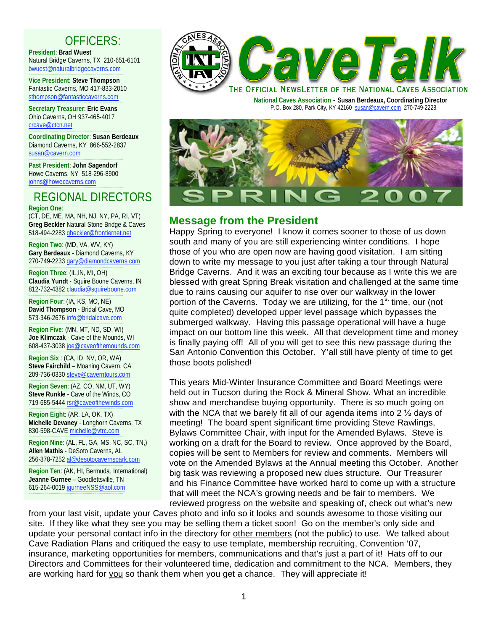# OFFICERS:

**President**: **Brad Wuest** Natural Bridge Caverns, TX 210-651-6101 bwuest@naturalbridgecaverns.com

----------------------------------------------------------------------------------------- **Vice President**: **Steve Thompson** Fantastic Caverns, MO 417-833-2010 sthompson@fantasticcaverns.com -----------------------------------------------------------------------------------------

**Secretary Treasurer**: **Eric Evans** Ohio Caverns, OH 937-465-4017 crcave@ctcn.net -----------------------------------------------------------------------------------------

**Coordinating Director**: **Susan Berdeaux** Diamond Caverns, KY 866-552-2837 susan@cavern.com

----------------------------------------------------------------------------------------- **Past President**: **John Sagendorf** Howe Caverns, NY 518-296-8900 johns@howecaverns.com -----------------------------------------------------------------------------------------

#### REGIONAL DIRECTORS **Region One**:

(CT, DE, ME, MA, NH, NJ, NY, PA, RI, VT) **Greg Beckler** Natural Stone Bridge & Caves 518-494-2283 gbeckler@frontiernet.net

----------------------------------------------------------------------------------------- **Region Two**: (MD, VA, WV, KY) **Gary Berdeaux** - Diamond Caverns, KY 270-749-2233 gary@diamondcaverns.com

----------------------------------------------------------------------------------------- **Region Three**: (IL,IN, MI, OH) **Claudia Yundt** - Squire Boone Caverns, IN 812-732-4382 claudia@squireboone.com

----------------------------------------------------------------------------------------- **Region Four**: (IA, KS, MO, NE) **David Thompson** - Bridal Cave, MO 573-346-2676 info@bridalcave.com

----------------------------------------------------------------------------------------- **Region Five**: (MN, MT, ND, SD, WI) **Joe Klimczak** - Cave of the Mounds, WI 608-437-3038 joe@caveofthemounds.com

----------------------------------------------------------------------------------------- **Region Six** : (CA, ID, NV, OR, WA) **Steve Fairchild** – Moaning Cavern, CA 209-736-0330 steve@caverntours.com

----------------------------------------------------------------------------------------- **Region Seven**: (AZ, CO, NM, UT, WY) **Steve Runkle** - Cave of the Winds, CO 719-685-5444 rsr@caveofthewinds.com

----------------------------------------------------------------------------------------- **Region Eight**: (AR, LA, OK, TX) **Michelle Devaney** - Longhorn Caverns, TX 830-598-CAVE michelle@vtrc.com

----------------------------------------------------------------------------------------- **Region Nine**: (AL, FL, GA, MS, NC, SC, TN,) **Allen Mathis** - DeSoto Caverns, AL 256-378-7252 al@desotocavernspark.com

----------------------------------------------------------------------------------------- **Region Ten**: (AK, HI, Bermuda, International) **Jeanne Gurnee** – Goodlettsville, TN 615-264-0019 jgurneeNSS@aol.com

-----------------------------------------------------------------------------------------



 **National Caves Association - Susan Berdeaux, Coordinating Director** P.O. Box 280, Park City, KY 42160 susan@cavern.com 270-749-2228



## **Message from the President**

Happy Spring to everyone! I know it comes sooner to those of us down south and many of you are still experiencing winter conditions. I hope those of you who are open now are having good visitation. I am sitting down to write my message to you just after taking a tour through Natural Bridge Caverns. And it was an exciting tour because as I write this we are blessed with great Spring Break visitation and challenged at the same time due to rains causing our aquifer to rise over our walkway in the lower portion of the Caverns. Today we are utilizing, for the  $1<sup>st</sup>$  time, our (not quite completed) developed upper level passage which bypasses the submerged walkway. Having this passage operational will have a huge impact on our bottom line this week. All that development time and money is finally paying off! All of you will get to see this new passage during the San Antonio Convention this October. Y'all still have plenty of time to get those boots polished!

This years Mid-Winter Insurance Committee and Board Meetings were held out in Tucson during the Rock & Mineral Show. What an incredible show and merchandise buying opportunity. There is so much going on with the NCA that we barely fit all of our agenda items into 2  $\frac{1}{2}$  days of meeting! The board spent significant time providing Steve Rawlings, Bylaws Committee Chair, with input for the Amended Bylaws. Steve is working on a draft for the Board to review. Once approved by the Board, copies will be sent to Members for review and comments. Members will vote on the Amended Bylaws at the Annual meeting this October. Another big task was reviewing a proposed new dues structure. Our Treasurer and his Finance Committee have worked hard to come up with a structure that will meet the NCA's growing needs and be fair to members. We reviewed progress on the website and speaking of, check out what's new

from your last visit, update your Caves photo and info so it looks and sounds awesome to those visiting our site. If they like what they see you may be selling them a ticket soon! Go on the member's only side and update your personal contact info in the directory for other members (not the public) to use. We talked about Cave Radiation Plans and critiqued the easy to use template, membership recruiting, Convention '07, insurance, marketing opportunities for members, communications and that's just a part of it! Hats off to our Directors and Committees for their volunteered time, dedication and commitment to the NCA. Members, they are working hard for you so thank them when you get a chance. They will appreciate it!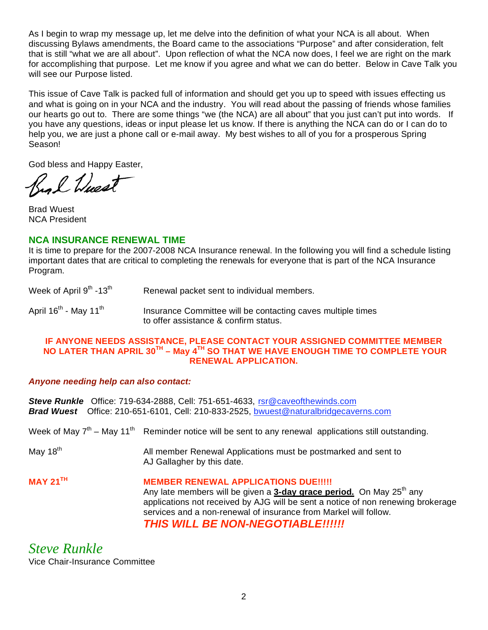As I begin to wrap my message up, let me delve into the definition of what your NCA is all about. When discussing Bylaws amendments, the Board came to the associations "Purpose" and after consideration, felt that is still "what we are all about". Upon reflection of what the NCA now does, I feel we are right on the mark for accomplishing that purpose. Let me know if you agree and what we can do better. Below in Cave Talk you will see our Purpose listed.

This issue of Cave Talk is packed full of information and should get you up to speed with issues effecting us and what is going on in your NCA and the industry. You will read about the passing of friends whose families our hearts go out to. There are some things "we (the NCA) are all about" that you just can't put into words. If you have any questions, ideas or input please let us know. If there is anything the NCA can do or I can do to help you, we are just a phone call or e-mail away. My best wishes to all of you for a prosperous Spring Season!

God bless and Happy Easter,

ng l Nuest

Brad Wuest NCA President

#### **NCA INSURANCE RENEWAL TIME**

It is time to prepare for the 2007-2008 NCA Insurance renewal. In the following you will find a schedule listing important dates that are critical to completing the renewals for everyone that is part of the NCA Insurance Program.

| Week of April 9 <sup>th</sup> -13 <sup>th</sup> | Renewal packet sent to individual members. |
|-------------------------------------------------|--------------------------------------------|
|-------------------------------------------------|--------------------------------------------|

April  $16<sup>th</sup>$  - May 11<sup>th</sup> Insurance Committee will be contacting caves multiple times to offer assistance & confirm status.

#### **IF ANYONE NEEDS ASSISTANCE, PLEASE CONTACT YOUR ASSIGNED COMMITTEE MEMBER NO LATER THAN APRIL 30TH – May 4TH SO THAT WE HAVE ENOUGH TIME TO COMPLETE YOUR RENEWAL APPLICATION.**

#### *Anyone needing help can also contact:*

**Steve Runkle** Office: 719-634-2888, Cell: 751-651-4633, rsr@caveofthewinds.com *Brad Wuest* Office: 210-651-6101, Cell: 210-833-2525, bwuest@naturalbridgecaverns.com

Week of May  $7<sup>th</sup>$  – May 11<sup>th</sup> Reminder notice will be sent to any renewal applications still outstanding.

May  $18<sup>th</sup>$  All member Renewal Applications must be postmarked and sent to AJ Gallagher by this date.

## **MAY 21<sup>TH</sup> MEMBER RENEWAL APPLICATIONS DUE!!!!!**

Any late members will be given a **3-day grace period.** On May 25<sup>th</sup> any applications not received by AJG will be sent a notice of non renewing brokerage services and a non-renewal of insurance from Markel will follow. *THIS WILL BE NON-NEGOTIABLE!!!!!!* 

*Steve Runkle*  Vice Chair-Insurance Committee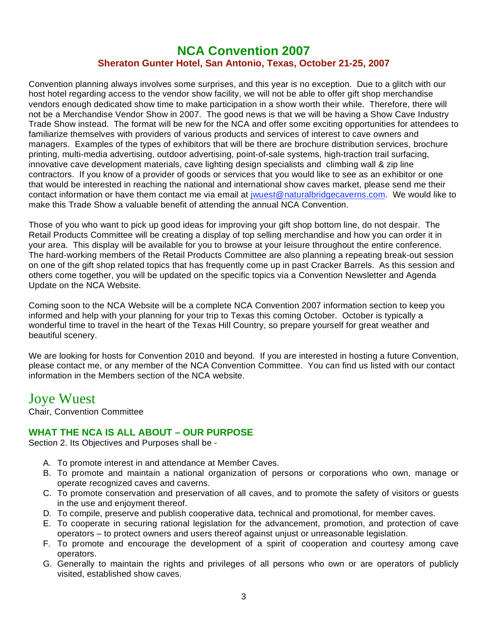## **NCA Convention 2007 Sheraton Gunter Hotel, San Antonio, Texas, October 21-25, 2007**

Convention planning always involves some surprises, and this year is no exception. Due to a glitch with our host hotel regarding access to the vendor show facility, we will not be able to offer gift shop merchandise vendors enough dedicated show time to make participation in a show worth their while. Therefore, there will not be a Merchandise Vendor Show in 2007. The good news is that we will be having a Show Cave Industry Trade Show instead. The format will be new for the NCA and offer some exciting opportunities for attendees to familiarize themselves with providers of various products and services of interest to cave owners and managers. Examples of the types of exhibitors that will be there are brochure distribution services, brochure printing, multi-media advertising, outdoor advertising, point-of-sale systems, high-traction trail surfacing, innovative cave development materials, cave lighting design specialists and climbing wall & zip line contractors. If you know of a provider of goods or services that you would like to see as an exhibitor or one that would be interested in reaching the national and international show caves market, please send me their contact information or have them contact me via email at jwuest@naturalbridgecaverns.com. We would like to make this Trade Show a valuable benefit of attending the annual NCA Convention.

Those of you who want to pick up good ideas for improving your gift shop bottom line, do not despair. The Retail Products Committee will be creating a display of top selling merchandise and how you can order it in your area. This display will be available for you to browse at your leisure throughout the entire conference. The hard-working members of the Retail Products Committee are also planning a repeating break-out session on one of the gift shop related topics that has frequently come up in past Cracker Barrels. As this session and others come together, you will be updated on the specific topics via a Convention Newsletter and Agenda Update on the NCA Website.

Coming soon to the NCA Website will be a complete NCA Convention 2007 information section to keep you informed and help with your planning for your trip to Texas this coming October. October is typically a wonderful time to travel in the heart of the Texas Hill Country, so prepare yourself for great weather and beautiful scenery.

We are looking for hosts for Convention 2010 and beyond. If you are interested in hosting a future Convention, please contact me, or any member of the NCA Convention Committee. You can find us listed with our contact information in the Members section of the NCA website.

# Joye Wuest

Chair, Convention Committee

#### **WHAT THE NCA IS ALL ABOUT – OUR PURPOSE**

Section 2. Its Objectives and Purposes shall be -

- A. To promote interest in and attendance at Member Caves.
- B. To promote and maintain a national organization of persons or corporations who own, manage or operate recognized caves and caverns.
- C. To promote conservation and preservation of all caves, and to promote the safety of visitors or guests in the use and enjoyment thereof.
- D. To compile, preserve and publish cooperative data, technical and promotional, for member caves.
- E. To cooperate in securing rational legislation for the advancement, promotion, and protection of cave operators – to protect owners and users thereof against unjust or unreasonable legislation.
- F. To promote and encourage the development of a spirit of cooperation and courtesy among cave operators.
- G. Generally to maintain the rights and privileges of all persons who own or are operators of publicly visited, established show caves.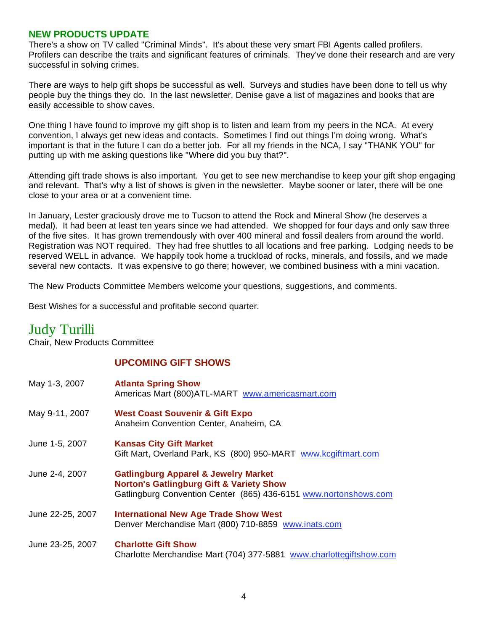#### **NEW PRODUCTS UPDATE**

There's a show on TV called "Criminal Minds". It's about these very smart FBI Agents called profilers. Profilers can describe the traits and significant features of criminals. They've done their research and are very successful in solving crimes.

There are ways to help gift shops be successful as well. Surveys and studies have been done to tell us why people buy the things they do. In the last newsletter, Denise gave a list of magazines and books that are easily accessible to show caves.

One thing I have found to improve my gift shop is to listen and learn from my peers in the NCA. At every convention, I always get new ideas and contacts. Sometimes I find out things I'm doing wrong. What's important is that in the future I can do a better job. For all my friends in the NCA, I say "THANK YOU" for putting up with me asking questions like "Where did you buy that?".

Attending gift trade shows is also important. You get to see new merchandise to keep your gift shop engaging and relevant. That's why a list of shows is given in the newsletter. Maybe sooner or later, there will be one close to your area or at a convenient time.

In January, Lester graciously drove me to Tucson to attend the Rock and Mineral Show (he deserves a medal). It had been at least ten years since we had attended. We shopped for four days and only saw three of the five sites. It has grown tremendously with over 400 mineral and fossil dealers from around the world. Registration was NOT required. They had free shuttles to all locations and free parking. Lodging needs to be reserved WELL in advance. We happily took home a truckload of rocks, minerals, and fossils, and we made several new contacts. It was expensive to go there; however, we combined business with a mini vacation.

The New Products Committee Members welcome your questions, suggestions, and comments.

Best Wishes for a successful and profitable second quarter.

# Judy Turilli

Chair, New Products Committee

#### **UPCOMING GIFT SHOWS**

| May 1-3, 2007    | <b>Atlanta Spring Show</b><br>Americas Mart (800) ATL-MART www.americasmart.com                                                                                            |
|------------------|----------------------------------------------------------------------------------------------------------------------------------------------------------------------------|
| May 9-11, 2007   | <b>West Coast Souvenir &amp; Gift Expo</b><br>Anaheim Convention Center, Anaheim, CA                                                                                       |
| June 1-5, 2007   | <b>Kansas City Gift Market</b><br>Gift Mart, Overland Park, KS (800) 950-MART www.kcgiftmart.com                                                                           |
| June 2-4, 2007   | <b>Gatlingburg Apparel &amp; Jewelry Market</b><br><b>Norton's Gatlingburg Gift &amp; Variety Show</b><br>Gatlingburg Convention Center (865) 436-6151 www.nortonshows.com |
| June 22-25, 2007 | <b>International New Age Trade Show West</b><br>Denver Merchandise Mart (800) 710-8859 www.inats.com                                                                       |
| June 23-25, 2007 | <b>Charlotte Gift Show</b><br>Charlotte Merchandise Mart (704) 377-5881 www.charlottegiftshow.com                                                                          |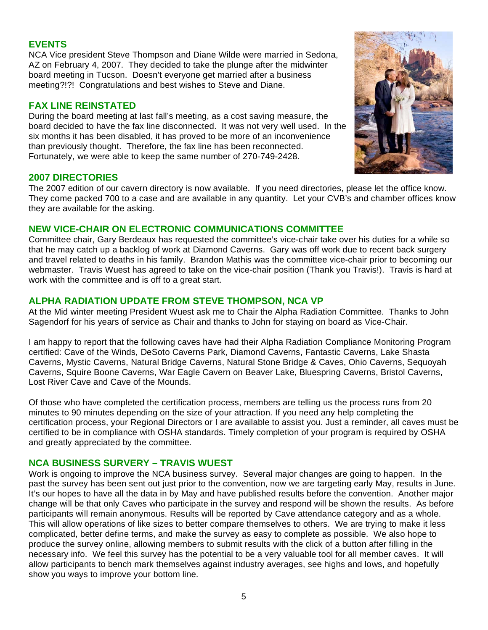#### **EVENTS**

NCA Vice president Steve Thompson and Diane Wilde were married in Sedona, AZ on February 4, 2007. They decided to take the plunge after the midwinter board meeting in Tucson. Doesn't everyone get married after a business meeting?!?! Congratulations and best wishes to Steve and Diane.

#### **FAX LINE REINSTATED**

During the board meeting at last fall's meeting, as a cost saving measure, the board decided to have the fax line disconnected. It was not very well used. In the six months it has been disabled, it has proved to be more of an inconvenience than previously thought. Therefore, the fax line has been reconnected. Fortunately, we were able to keep the same number of 270-749-2428.



#### **2007 DIRECTORIES**

The 2007 edition of our cavern directory is now available. If you need directories, please let the office know. They come packed 700 to a case and are available in any quantity. Let your CVB's and chamber offices know they are available for the asking.

#### **NEW VICE-CHAIR ON ELECTRONIC COMMUNICATIONS COMMITTEE**

Committee chair, Gary Berdeaux has requested the committee's vice-chair take over his duties for a while so that he may catch up a backlog of work at Diamond Caverns. Gary was off work due to recent back surgery and travel related to deaths in his family. Brandon Mathis was the committee vice-chair prior to becoming our webmaster. Travis Wuest has agreed to take on the vice-chair position (Thank you Travis!). Travis is hard at work with the committee and is off to a great start.

#### **ALPHA RADIATION UPDATE FROM STEVE THOMPSON, NCA VP**

At the Mid winter meeting President Wuest ask me to Chair the Alpha Radiation Committee. Thanks to John Sagendorf for his years of service as Chair and thanks to John for staying on board as Vice-Chair.

I am happy to report that the following caves have had their Alpha Radiation Compliance Monitoring Program certified: Cave of the Winds, DeSoto Caverns Park, Diamond Caverns, Fantastic Caverns, Lake Shasta Caverns, Mystic Caverns, Natural Bridge Caverns, Natural Stone Bridge & Caves, Ohio Caverns, Sequoyah Caverns, Squire Boone Caverns, War Eagle Cavern on Beaver Lake, Bluespring Caverns, Bristol Caverns, Lost River Cave and Cave of the Mounds.

Of those who have completed the certification process, members are telling us the process runs from 20 minutes to 90 minutes depending on the size of your attraction. If you need any help completing the certification process, your Regional Directors or I are available to assist you. Just a reminder, all caves must be certified to be in compliance with OSHA standards. Timely completion of your program is required by OSHA and greatly appreciated by the committee.

#### **NCA BUSINESS SURVERY – TRAVIS WUEST**

Work is ongoing to improve the NCA business survey. Several major changes are going to happen. In the past the survey has been sent out just prior to the convention, now we are targeting early May, results in June. It's our hopes to have all the data in by May and have published results before the convention. Another major change will be that only Caves who participate in the survey and respond will be shown the results. As before participants will remain anonymous. Results will be reported by Cave attendance category and as a whole. This will allow operations of like sizes to better compare themselves to others. We are trying to make it less complicated, better define terms, and make the survey as easy to complete as possible. We also hope to produce the survey online, allowing members to submit results with the click of a button after filling in the necessary info. We feel this survey has the potential to be a very valuable tool for all member caves. It will allow participants to bench mark themselves against industry averages, see highs and lows, and hopefully show you ways to improve your bottom line.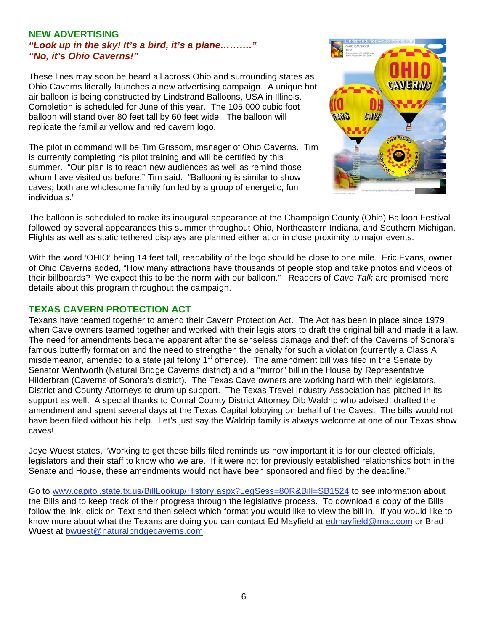#### **NEW ADVERTISING**  *"Look up in the sky! It's a bird, it's a plane………." "No, it's Ohio Caverns!"*

These lines may soon be heard all across Ohio and surrounding states as Ohio Caverns literally launches a new advertising campaign. A unique hot air balloon is being constructed by Lindstrand Balloons, USA in Illinois. Completion is scheduled for June of this year. The 105,000 cubic foot balloon will stand over 80 feet tall by 60 feet wide. The balloon will replicate the familiar yellow and red cavern logo.

The pilot in command will be Tim Grissom, manager of Ohio Caverns. Tim is currently completing his pilot training and will be certified by this summer. "Our plan is to reach new audiences as well as remind those whom have visited us before," Tim said. "Ballooning is similar to show caves; both are wholesome family fun led by a group of energetic, fun individuals."



The balloon is scheduled to make its inaugural appearance at the Champaign County (Ohio) Balloon Festival followed by several appearances this summer throughout Ohio, Northeastern Indiana, and Southern Michigan. Flights as well as static tethered displays are planned either at or in close proximity to major events.

With the word 'OHIO' being 14 feet tall, readability of the logo should be close to one mile. Eric Evans, owner of Ohio Caverns added, "How many attractions have thousands of people stop and take photos and videos of their billboards? We expect this to be the norm with our balloon." Readers of *Cave Talk* are promised more details about this program throughout the campaign.

#### **TEXAS CAVERN PROTECTION ACT**

Texans have teamed together to amend their Cavern Protection Act. The Act has been in place since 1979 when Cave owners teamed together and worked with their legislators to draft the original bill and made it a law. The need for amendments became apparent after the senseless damage and theft of the Caverns of Sonora's famous butterfly formation and the need to strengthen the penalty for such a violation (currently a Class A misdemeanor, amended to a state jail felony 1<sup>st</sup> offence). The amendment bill was filed in the Senate by Senator Wentworth (Natural Bridge Caverns district) and a "mirror" bill in the House by Representative Hilderbran (Caverns of Sonora's district). The Texas Cave owners are working hard with their legislators, District and County Attorneys to drum up support. The Texas Travel Industry Association has pitched in its support as well. A special thanks to Comal County District Attorney Dib Waldrip who advised, drafted the amendment and spent several days at the Texas Capital lobbying on behalf of the Caves. The bills would not have been filed without his help. Let's just say the Waldrip family is always welcome at one of our Texas show caves!

Joye Wuest states, "Working to get these bills filed reminds us how important it is for our elected officials, legislators and their staff to know who we are. If it were not for previously established relationships both in the Senate and House, these amendments would not have been sponsored and filed by the deadline."

Go to www.capitol.state.tx.us/BillLookup/History.aspx?LegSess=80R&Bill=SB1524 to see information about the Bills and to keep track of their progress through the legislative process. To download a copy of the Bills follow the link, click on Text and then select which format you would like to view the bill in. If you would like to know more about what the Texans are doing you can contact Ed Mayfield at edmayfield@mac.com or Brad Wuest at bwuest@naturalbridgecaverns.com.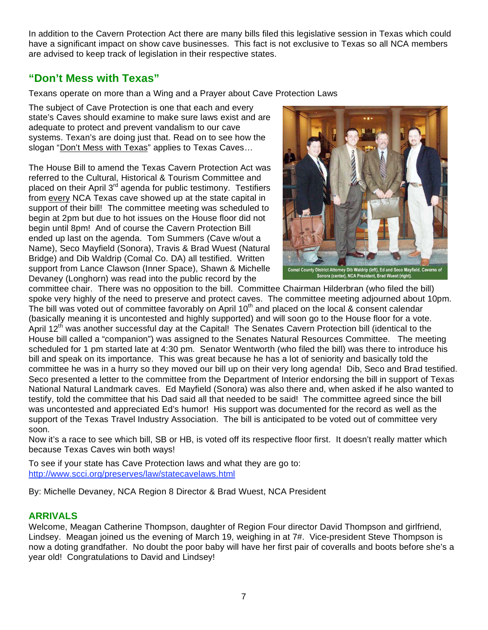In addition to the Cavern Protection Act there are many bills filed this legislative session in Texas which could have a significant impact on show cave businesses. This fact is not exclusive to Texas so all NCA members are advised to keep track of legislation in their respective states.

## **"Don't Mess with Texas"**

Texans operate on more than a Wing and a Prayer about Cave Protection Laws

The subject of Cave Protection is one that each and every state's Caves should examine to make sure laws exist and are adequate to protect and prevent vandalism to our cave systems. Texan's are doing just that. Read on to see how the slogan "Don't Mess with Texas" applies to Texas Caves…

The House Bill to amend the Texas Cavern Protection Act was referred to the Cultural, Historical & Tourism Committee and placed on their April 3<sup>rd</sup> agenda for public testimony. Testifiers from every NCA Texas cave showed up at the state capital in support of their bill! The committee meeting was scheduled to begin at 2pm but due to hot issues on the House floor did not begin until 8pm! And of course the Cavern Protection Bill ended up last on the agenda. Tom Summers (Cave w/out a Name), Seco Mayfield (Sonora), Travis & Brad Wuest (Natural Bridge) and Dib Waldrip (Comal Co. DA) all testified. Written support from Lance Clawson (Inner Space), Shawn & Michelle Devaney (Longhorn) was read into the public record by the



committee chair. There was no opposition to the bill. Committee Chairman Hilderbran (who filed the bill) spoke very highly of the need to preserve and protect caves. The committee meeting adjourned about 10pm. The bill was voted out of committee favorably on April 10<sup>th</sup> and placed on the local & consent calendar (basically meaning it is uncontested and highly supported) and will soon go to the House floor for a vote. April 12<sup>th</sup> was another successful day at the Capital! The Senates Cavern Protection bill (identical to the House bill called a "companion") was assigned to the Senates Natural Resources Committee. The meeting scheduled for 1 pm started late at 4:30 pm. Senator Wentworth (who filed the bill) was there to introduce his bill and speak on its importance. This was great because he has a lot of seniority and basically told the committee he was in a hurry so they moved our bill up on their very long agenda! Dib, Seco and Brad testified. Seco presented a letter to the committee from the Department of Interior endorsing the bill in support of Texas National Natural Landmark caves. Ed Mayfield (Sonora) was also there and, when asked if he also wanted to testify, told the committee that his Dad said all that needed to be said! The committee agreed since the bill was uncontested and appreciated Ed's humor! His support was documented for the record as well as the support of the Texas Travel Industry Association. The bill is anticipated to be voted out of committee very soon.

Now it's a race to see which bill, SB or HB, is voted off its respective floor first. It doesn't really matter which because Texas Caves win both ways!

To see if your state has Cave Protection laws and what they are go to: http://www.scci.org/preserves/law/statecavelaws.html

By: Michelle Devaney, NCA Region 8 Director & Brad Wuest, NCA President

## **ARRIVALS**

Welcome, Meagan Catherine Thompson, daughter of Region Four director David Thompson and girlfriend, Lindsey. Meagan joined us the evening of March 19, weighing in at 7#. Vice-president Steve Thompson is now a doting grandfather. No doubt the poor baby will have her first pair of coveralls and boots before she's a year old! Congratulations to David and Lindsey!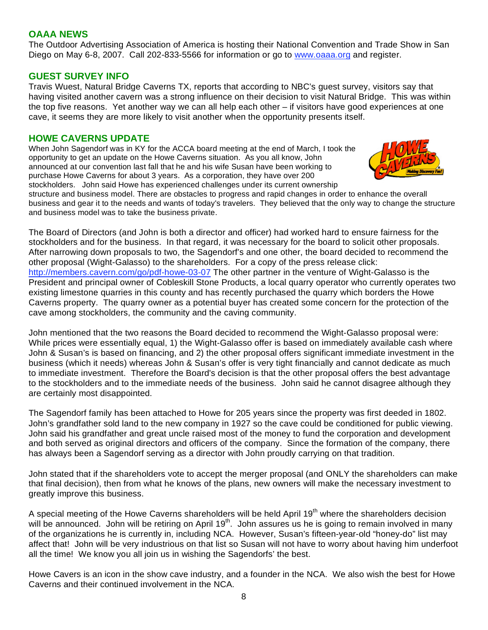#### **OAAA NEWS**

The Outdoor Advertising Association of America is hosting their National Convention and Trade Show in San Diego on May 6-8, 2007. Call 202-833-5566 for information or go to www.oaaa.org and register.

#### **GUEST SURVEY INFO**

Travis Wuest, Natural Bridge Caverns TX, reports that according to NBC's guest survey, visitors say that having visited another cavern was a strong influence on their decision to visit Natural Bridge. This was within the top five reasons. Yet another way we can all help each other – if visitors have good experiences at one cave, it seems they are more likely to visit another when the opportunity presents itself.

#### **HOWE CAVERNS UPDATE**

When John Sagendorf was in KY for the ACCA board meeting at the end of March, I took the opportunity to get an update on the Howe Caverns situation. As you all know, John announced at our convention last fall that he and his wife Susan have been working to purchase Howe Caverns for about 3 years. As a corporation, they have over 200 stockholders. John said Howe has experienced challenges under its current ownership



structure and business model. There are obstacles to progress and rapid changes in order to enhance the overall business and gear it to the needs and wants of today's travelers. They believed that the only way to change the structure and business model was to take the business private.

The Board of Directors (and John is both a director and officer) had worked hard to ensure fairness for the stockholders and for the business. In that regard, it was necessary for the board to solicit other proposals. After narrowing down proposals to two, the Sagendorf's and one other, the board decided to recommend the other proposal (Wight-Galasso) to the shareholders. For a copy of the press release click: http://members.cavern.com/go/pdf-howe-03-07 The other partner in the venture of Wight-Galasso is the President and principal owner of Cobleskill Stone Products, a local quarry operator who currently operates two existing limestone quarries in this county and has recently purchased the quarry which borders the Howe Caverns property. The quarry owner as a potential buyer has created some concern for the protection of the cave among stockholders, the community and the caving community.

John mentioned that the two reasons the Board decided to recommend the Wight-Galasso proposal were: While prices were essentially equal, 1) the Wight-Galasso offer is based on immediately available cash where John & Susan's is based on financing, and 2) the other proposal offers significant immediate investment in the business (which it needs) whereas John & Susan's offer is very tight financially and cannot dedicate as much to immediate investment. Therefore the Board's decision is that the other proposal offers the best advantage to the stockholders and to the immediate needs of the business. John said he cannot disagree although they are certainly most disappointed.

The Sagendorf family has been attached to Howe for 205 years since the property was first deeded in 1802. John's grandfather sold land to the new company in 1927 so the cave could be conditioned for public viewing. John said his grandfather and great uncle raised most of the money to fund the corporation and development and both served as original directors and officers of the company. Since the formation of the company, there has always been a Sagendorf serving as a director with John proudly carrying on that tradition.

John stated that if the shareholders vote to accept the merger proposal (and ONLY the shareholders can make that final decision), then from what he knows of the plans, new owners will make the necessary investment to greatly improve this business.

A special meeting of the Howe Caverns shareholders will be held April 19<sup>th</sup> where the shareholders decision will be announced. John will be retiring on April 19<sup>th</sup>. John assures us he is going to remain involved in many of the organizations he is currently in, including NCA. However, Susan's fifteen-year-old "honey-do" list may affect that! John will be very industrious on that list so Susan will not have to worry about having him underfoot all the time! We know you all join us in wishing the Sagendorfs' the best.

Howe Cavers is an icon in the show cave industry, and a founder in the NCA. We also wish the best for Howe Caverns and their continued involvement in the NCA.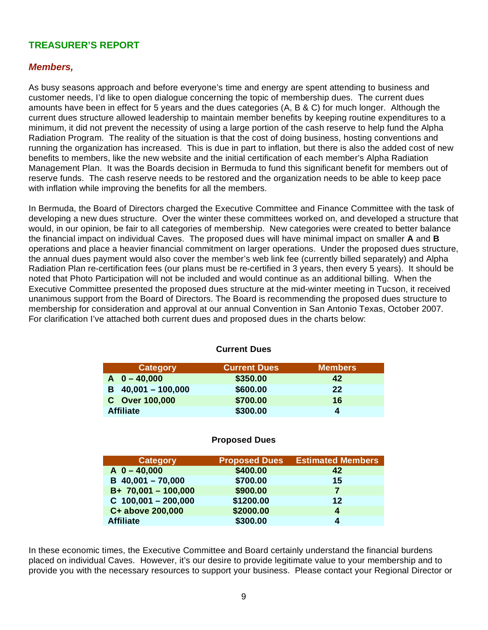## **TREASURER'S REPORT**

#### *Members,*

As busy seasons approach and before everyone's time and energy are spent attending to business and customer needs, I'd like to open dialogue concerning the topic of membership dues. The current dues amounts have been in effect for 5 years and the dues categories (A, B & C) for much longer. Although the current dues structure allowed leadership to maintain member benefits by keeping routine expenditures to a minimum, it did not prevent the necessity of using a large portion of the cash reserve to help fund the Alpha Radiation Program. The reality of the situation is that the cost of doing business, hosting conventions and running the organization has increased. This is due in part to inflation, but there is also the added cost of new benefits to members, like the new website and the initial certification of each member's Alpha Radiation Management Plan. It was the Boards decision in Bermuda to fund this significant benefit for members out of reserve funds. The cash reserve needs to be restored and the organization needs to be able to keep pace with inflation while improving the benefits for all the members.

In Bermuda, the Board of Directors charged the Executive Committee and Finance Committee with the task of developing a new dues structure. Over the winter these committees worked on, and developed a structure that would, in our opinion, be fair to all categories of membership. New categories were created to better balance the financial impact on individual Caves. The proposed dues will have minimal impact on smaller **A** and **B** operations and place a heavier financial commitment on larger operations. Under the proposed dues structure, the annual dues payment would also cover the member's web link fee (currently billed separately) and Alpha Radiation Plan re-certification fees (our plans must be re-certified in 3 years, then every 5 years). It should be noted that Photo Participation will not be included and would continue as an additional billing. When the Executive Committee presented the proposed dues structure at the mid-winter meeting in Tucson, it received unanimous support from the Board of Directors. The Board is recommending the proposed dues structure to membership for consideration and approval at our annual Convention in San Antonio Texas, October 2007. For clarification I've attached both current dues and proposed dues in the charts below:

| <b>Category</b>      | <b>Current Dues</b> | <b>Members</b> |
|----------------------|---------------------|----------------|
| $A = 0 - 40,000$     | \$350.00            | 42             |
| $B$ 40,001 - 100,000 | \$600.00            | 22             |
| C Over 100,000       | \$700.00            | 16             |
| <b>Affiliate</b>     | \$300.00            | ◢              |

#### **Current Dues**

#### **Proposed Dues**

| <b>Category</b>       | <b>Proposed Dues</b> | <b>Estimated Members</b> |
|-----------------------|----------------------|--------------------------|
| $A$ 0 - 40,000        | \$400.00             | 42                       |
| $B$ 40,001 - 70,000   | \$700.00             | 15                       |
| $B+ 70,001 - 100,000$ | \$900.00             |                          |
| $C$ 100,001 - 200,000 | \$1200.00            | $12 \,$                  |
| C+ above 200,000      | \$2000.00            | 4                        |
| <b>Affiliate</b>      | \$300.00             | Δ                        |

In these economic times, the Executive Committee and Board certainly understand the financial burdens placed on individual Caves. However, it's our desire to provide legitimate value to your membership and to provide you with the necessary resources to support your business. Please contact your Regional Director or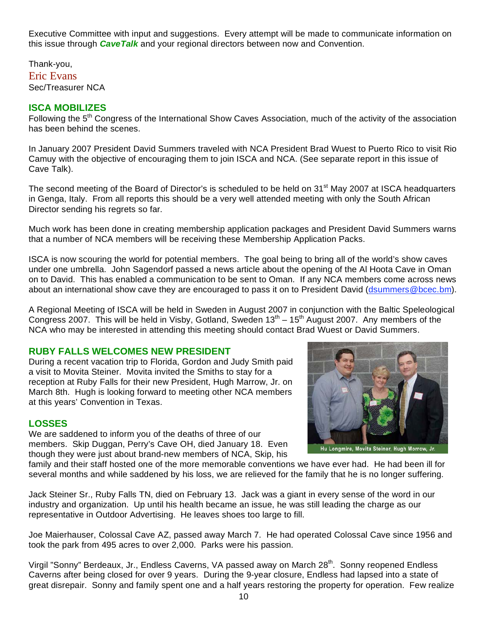Executive Committee with input and suggestions. Every attempt will be made to communicate information on this issue through *CaveTalk* and your regional directors between now and Convention.

Thank-you, Eric Evans Sec/Treasurer NCA

### **ISCA MOBILIZES**

Following the 5<sup>th</sup> Congress of the International Show Caves Association, much of the activity of the association has been behind the scenes.

In January 2007 President David Summers traveled with NCA President Brad Wuest to Puerto Rico to visit Rio Camuy with the objective of encouraging them to join ISCA and NCA. (See separate report in this issue of Cave Talk).

The second meeting of the Board of Director's is scheduled to be held on 31<sup>st</sup> May 2007 at ISCA headquarters in Genga, Italy. From all reports this should be a very well attended meeting with only the South African Director sending his regrets so far.

Much work has been done in creating membership application packages and President David Summers warns that a number of NCA members will be receiving these Membership Application Packs.

ISCA is now scouring the world for potential members. The goal being to bring all of the world's show caves under one umbrella. John Sagendorf passed a news article about the opening of the Al Hoota Cave in Oman on to David. This has enabled a communication to be sent to Oman. If any NCA members come across news about an international show cave they are encouraged to pass it on to President David (dsummers@bcec.bm).

A Regional Meeting of ISCA will be held in Sweden in August 2007 in conjunction with the Baltic Speleological Congress 2007. This will be held in Visby, Gotland, Sweden  $13^{th} - 15^{th}$  August 2007. Any members of the NCA who may be interested in attending this meeting should contact Brad Wuest or David Summers.

#### **RUBY FALLS WELCOMES NEW PRESIDENT**

During a recent vacation trip to Florida, Gordon and Judy Smith paid a visit to Movita Steiner. Movita invited the Smiths to stay for a reception at Ruby Falls for their new President, Hugh Marrow, Jr. on March 8th. Hugh is looking forward to meeting other NCA members at this years' Convention in Texas.

#### **LOSSES**

We are saddened to inform you of the deaths of three of our members. Skip Duggan, Perry's Cave OH, died January 18. Even though they were just about brand-new members of NCA, Skip, his



family and their staff hosted one of the more memorable conventions we have ever had. He had been ill for several months and while saddened by his loss, we are relieved for the family that he is no longer suffering.

Jack Steiner Sr., Ruby Falls TN, died on February 13. Jack was a giant in every sense of the word in our industry and organization. Up until his health became an issue, he was still leading the charge as our representative in Outdoor Advertising. He leaves shoes too large to fill.

Joe Maierhauser, Colossal Cave AZ, passed away March 7. He had operated Colossal Cave since 1956 and took the park from 495 acres to over 2,000. Parks were his passion.

Virgil "Sonny" Berdeaux, Jr., Endless Caverns, VA passed away on March 28<sup>th</sup>. Sonny reopened Endless Caverns after being closed for over 9 years. During the 9-year closure, Endless had lapsed into a state of great disrepair. Sonny and family spent one and a half years restoring the property for operation. Few realize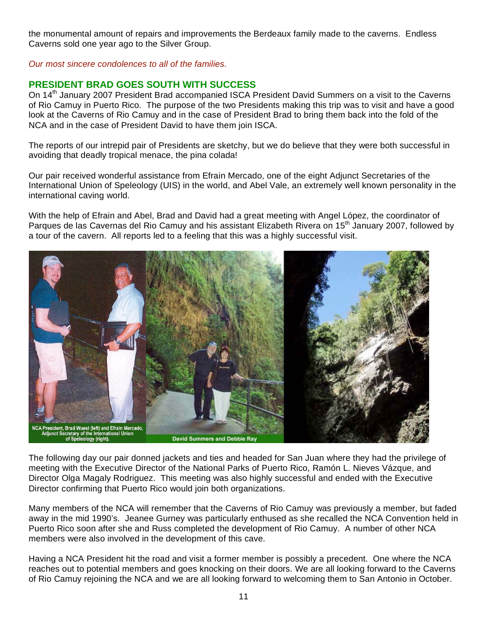the monumental amount of repairs and improvements the Berdeaux family made to the caverns. Endless Caverns sold one year ago to the Silver Group.

*Our most sincere condolences to all of the families.*

## **PRESIDENT BRAD GOES SOUTH WITH SUCCESS**

On 14<sup>th</sup> January 2007 President Brad accompanied ISCA President David Summers on a visit to the Caverns of Rio Camuy in Puerto Rico. The purpose of the two Presidents making this trip was to visit and have a good look at the Caverns of Rio Camuy and in the case of President Brad to bring them back into the fold of the NCA and in the case of President David to have them join ISCA.

The reports of our intrepid pair of Presidents are sketchy, but we do believe that they were both successful in avoiding that deadly tropical menace, the pina colada!

Our pair received wonderful assistance from Efrain Mercado, one of the eight Adjunct Secretaries of the International Union of Speleology (UIS) in the world, and Abel Vale, an extremely well known personality in the international caving world.

With the help of Efrain and Abel, Brad and David had a great meeting with Angel López, the coordinator of Parques de las Cavernas del Rio Camuy and his assistant Elizabeth Rivera on 15<sup>th</sup> January 2007, followed by a tour of the cavern. All reports led to a feeling that this was a highly successful visit.



The following day our pair donned jackets and ties and headed for San Juan where they had the privilege of meeting with the Executive Director of the National Parks of Puerto Rico, Ramón L. Nieves Vázque, and Director Olga Magaly Rodriguez. This meeting was also highly successful and ended with the Executive Director confirming that Puerto Rico would join both organizations.

Many members of the NCA will remember that the Caverns of Rio Camuy was previously a member, but faded away in the mid 1990's. Jeanee Gurney was particularly enthused as she recalled the NCA Convention held in Puerto Rico soon after she and Russ completed the development of Rio Camuy. A number of other NCA members were also involved in the development of this cave.

Having a NCA President hit the road and visit a former member is possibly a precedent. One where the NCA reaches out to potential members and goes knocking on their doors. We are all looking forward to the Caverns of Rio Camuy rejoining the NCA and we are all looking forward to welcoming them to San Antonio in October.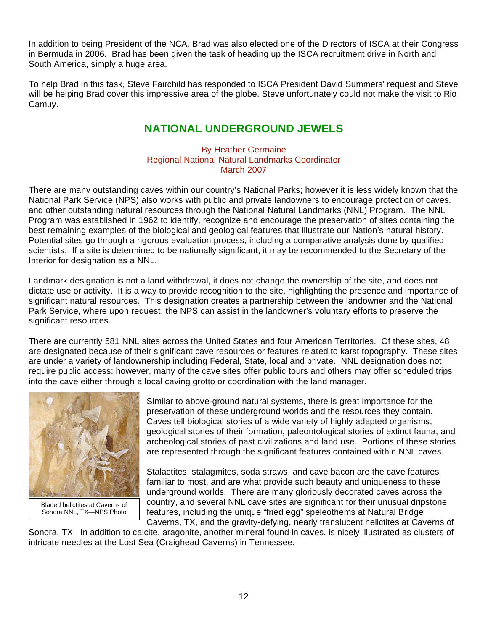In addition to being President of the NCA, Brad was also elected one of the Directors of ISCA at their Congress in Bermuda in 2006. Brad has been given the task of heading up the ISCA recruitment drive in North and South America, simply a huge area.

To help Brad in this task, Steve Fairchild has responded to ISCA President David Summers' request and Steve will be helping Brad cover this impressive area of the globe. Steve unfortunately could not make the visit to Rio Camuy.

## **NATIONAL UNDERGROUND JEWELS**

#### By Heather Germaine Regional National Natural Landmarks Coordinator March 2007

There are many outstanding caves within our country's National Parks; however it is less widely known that the National Park Service (NPS) also works with public and private landowners to encourage protection of caves, and other outstanding natural resources through the National Natural Landmarks (NNL) Program. The NNL Program was established in 1962 to identify, recognize and encourage the preservation of sites containing the best remaining examples of the biological and geological features that illustrate our Nation's natural history. Potential sites go through a rigorous evaluation process, including a comparative analysis done by qualified scientists. If a site is determined to be nationally significant, it may be recommended to the Secretary of the Interior for designation as a NNL.

Landmark designation is not a land withdrawal, it does not change the ownership of the site, and does not dictate use or activity. It is a way to provide recognition to the site, highlighting the presence and importance of significant natural resources. This designation creates a partnership between the landowner and the National Park Service, where upon request, the NPS can assist in the landowner's voluntary efforts to preserve the significant resources.

There are currently 581 NNL sites across the United States and four American Territories. Of these sites, 48 are designated because of their significant cave resources or features related to karst topography. These sites are under a variety of landownership including Federal, State, local and private. NNL designation does not require public access; however, many of the cave sites offer public tours and others may offer scheduled trips into the cave either through a local caving grotto or coordination with the land manager.



Bladed helictites at Caverns of Sonora NNL, TX—NPS Photo

Similar to above-ground natural systems, there is great importance for the preservation of these underground worlds and the resources they contain. Caves tell biological stories of a wide variety of highly adapted organisms, geological stories of their formation, paleontological stories of extinct fauna, and archeological stories of past civilizations and land use. Portions of these stories are represented through the significant features contained within NNL caves.

Stalactites, stalagmites, soda straws, and cave bacon are the cave features familiar to most, and are what provide such beauty and uniqueness to these underground worlds. There are many gloriously decorated caves across the country, and several NNL cave sites are significant for their unusual dripstone features, including the unique "fried egg" speleothems at Natural Bridge Caverns, TX, and the gravity-defying, nearly translucent helictites at Caverns of

Sonora, TX. In addition to calcite, aragonite, another mineral found in caves, is nicely illustrated as clusters of intricate needles at the Lost Sea (Craighead Caverns) in Tennessee.